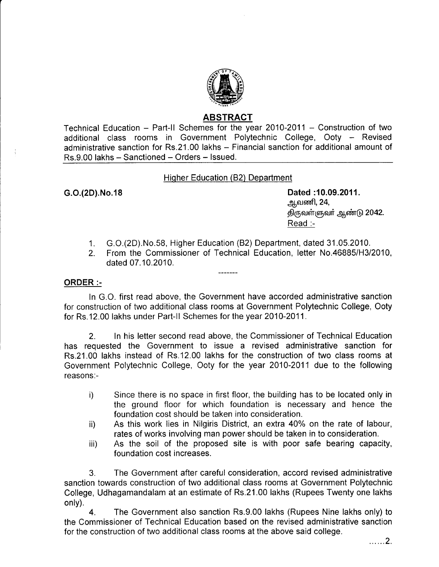

# ABSTRAGT

Technical Education - Part-II Schemes for the year 2010-2011 - Construction of two additional class rooms in Government Polytechnic College, Ooty - Revised administrative sanction for Rs.21.00 lakhs - Financial sanction for additional amount of Rs.9.00 lakhs - Sanctioned - Orders - Issued.

## Hiqher Education (82) Department

G.O.(2D).No.18 **Dated :10.09.2011. ஆவணி, 24,**  $\overline{\mathfrak{G}}$ ருவள்ளுவர் ஆண்டு 2042. Read :-

- 1. G.O.(2D).No.58, Higher Education (82) Department, dated 31 .05.2010.
- 2. From the Commissioner of Technical Education, letter No.46885/H3/2010, dated 07.10.2010.

### ORDER :-

In G.O. first read above, the Government have accorded administrative sanction for construction of two additional class rooms at Government Polytechnic College, Ooty for Rs.12.00 lakhs under Part-II Schemes for the year 2010-2011.

2. ln his letter second read above, the Commissioner of Technical Education has requested the Government to issue a revised administrative sanction for Rs.21.00 lakhs instead of Rs.12.00 lakhs for the construction of two class rooms at Government Polytechnic College, Ooty for the year 2010-2011 due to the following reasons:-

- i) Since there is no space in first floor, the building has to be located only in the ground floor for which foundation is necessary and hence the foundation cost should be taken into consideration.
- ii) As this work lies in Nilgiris District, an extra 40% on the rate of labour, rates of works involving man power should be taken in to consideration.
- iii) As the soil of the proposed site is with poor safe bearing capacity, foundation cost increases.

3. The Government after careful consideration, accord revised administrative sanction towards construction of two additional class rooms at Government Polytechnic College, Udhagamandalam at an estimate of Rs.21.00 lakhs (Rupees Twenty one lakhs only).

4. The Government also sanction Rs.9.00 lakhs (Rupees Nine lakhs only) to the Commissioner of Technical Education based on the revised administrative sanction for the construction of two additional class rooms at the above said college.